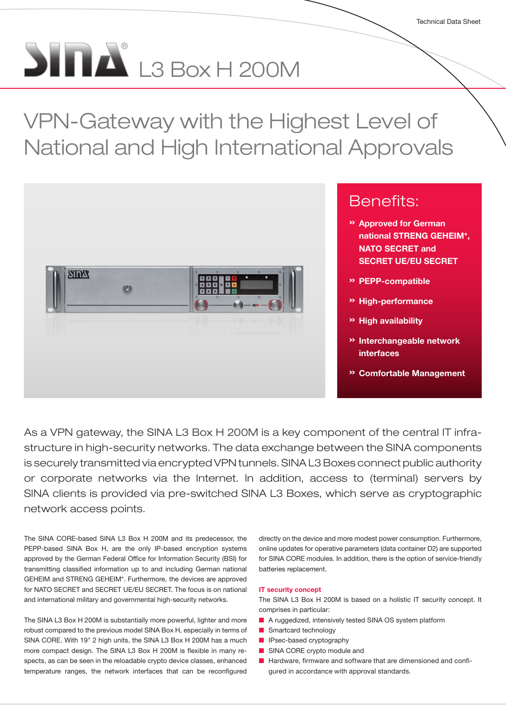# $\sum_{i=1}^{n} \prod_{i=1}^{n} L3$  Box H 200M

VPN-Gateway with the Highest Level of National and High International Approvals



As a VPN gateway, the SINA L3 Box H 200M is a key component of the central IT infrastructure in high-security networks. The data exchange between the SINA components is securely transmitted via encrypted VPN tunnels. SINA L3 Boxes connect public authority or corporate networks via the Internet. In addition, access to (terminal) servers by SINA clients is provided via pre-switched SINA L3 Boxes, which serve as cryptographic network access points.

The SINA CORE-based SINA L3 Box H 200M and its predecessor, the PEPP-based SINA Box H, are the only IP-based encryption systems approved by the German Federal Office for Information Security (BSI) for transmitting classified information up to and including German national GEHEIM and STRENG GEHEIM\*. Furthermore, the devices are approved for NATO SECRET and SECRET UE/EU SECRET. The focus is on national and international military and governmental high-security networks.

The SINA L3 Box H 200M is substantially more powerful, lighter and more robust compared to the previous model SINA Box H, especially in terms of SINA CORE. With 19" 2 high units, the SINA L3 Box H 200M has a much more compact design. The SINA L3 Box H 200M is flexible in many respects, as can be seen in the reloadable crypto device classes, enhanced temperature ranges, the network interfaces that can be reconfigured

directly on the device and more modest power consumption. Furthermore, online updates for operative parameters (data container D2) are supported for SINA CORE modules. In addition, there is the option of service-friendly batteries replacement.

### IT security concept

The SINA L3 Box H 200M is based on a holistic IT security concept. It comprises in particular:

- A ruggedized, intensively tested SINA OS system platform
- Smartcard technology
- IPsec-based cryptography
- SINA CORE crypto module and
- Hardware, firmware and software that are dimensioned and configured in accordance with approval standards.